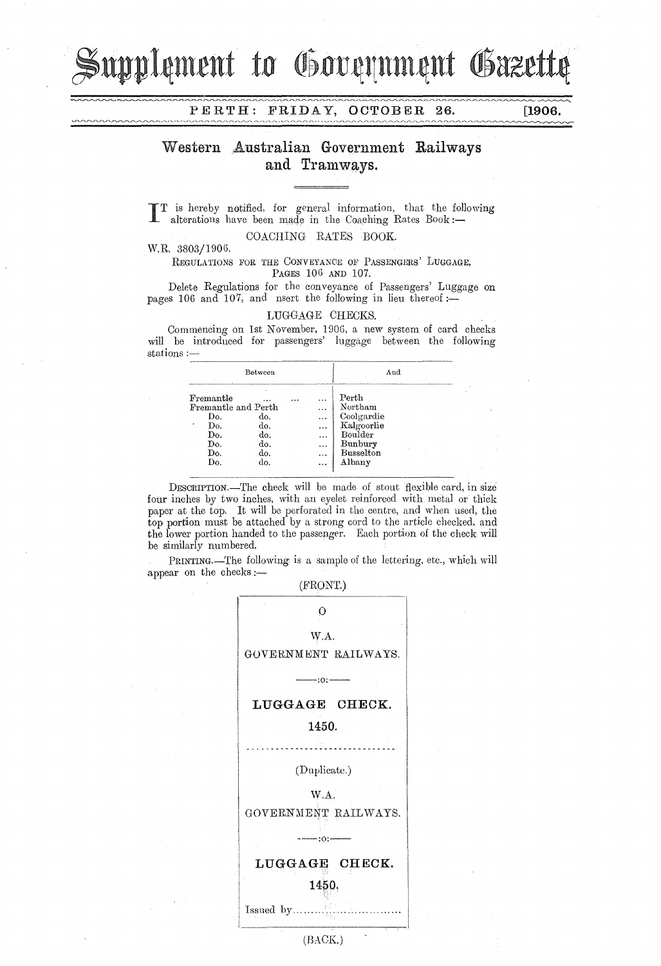supplement to Government Gazette

**PERTH:** FRIDAY, **OCTOBER 26. [1906.** 

## **Western Australian Government Railways**  and Tramways.

IT is hereby notified, for general information, that the following alterations have been made in the Coaching Rates **Book:-**

COACHING RATES BOOK.

W.R. 3803/1906.

REGULATIONS FOR THE CONVEYANCE OF PASSENGERS' LUGGAGE, PAGES 106 AND 107.

Delete Regulations for the conveyance of Passengers' Luggage on pages 106 and 107, and nsert the following in lieu thereof: $\overline{-}$ 

## LUGGAGE CHECKS.

Commencing on 1st November, 1906, a new system of card checks will be introduced for passengers' luggage between the following stations :-

| Between                                                                         |                                             |  | And                                                                           |                                                                                                  |  |
|---------------------------------------------------------------------------------|---------------------------------------------|--|-------------------------------------------------------------------------------|--------------------------------------------------------------------------------------------------|--|
| Fremantle<br>Fremantle and Perth<br>Do.<br>Do.<br>٠<br>Do.<br>Do.<br>Do.<br>Do. | .<br>do.<br>do.<br>do.<br>do.<br>do.<br>do. |  | $\cdots$<br>$\cdots$<br>$\cdots$<br><br>$\ddotsc$<br><br>$\cdots$<br>$\cdots$ | Perth<br>Northam<br>Coolgardie<br>Kalgoorlie<br>Boulder<br>Bunbury<br><b>Busselton</b><br>Albany |  |

DESCRIPTION.-The check will be made of stout flexible card, in size four inches by two inches, with an eyelet reinforced with metal or thick paper at the top. It will be perforated in the centre, and when used, the top portion must be attached by a strong cord to the article checked. and the lower portion handed to the passenger. Each portion of the check will be similarly numbered.

PRINTING.—The following is a sample of the lettering, etc., which will appear on the checks:-

(FRONT.)